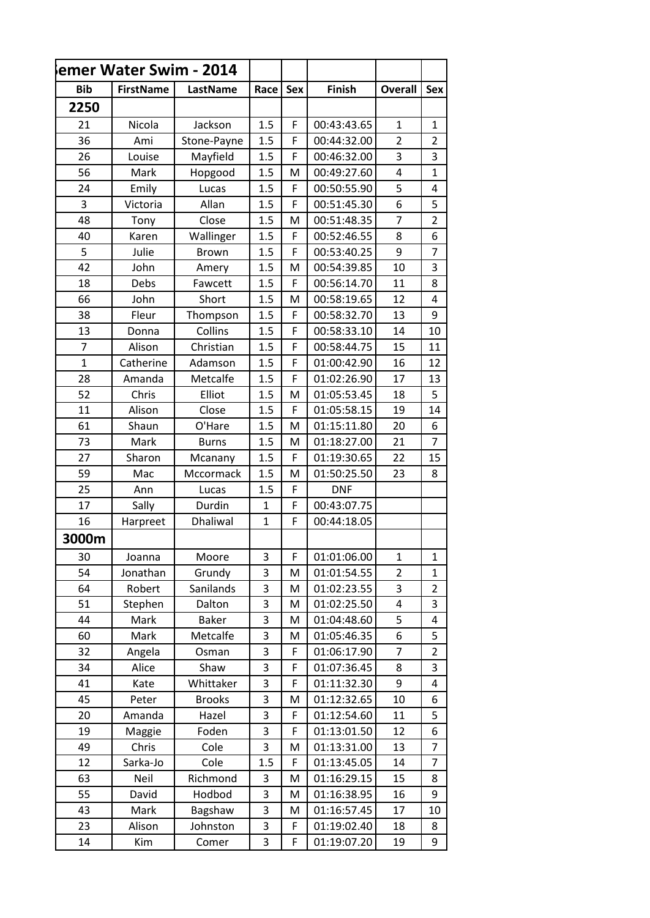| emer Water Swim - 2014 |                  |               |              |            |               |                |                |
|------------------------|------------------|---------------|--------------|------------|---------------|----------------|----------------|
| <b>Bib</b>             | <b>FirstName</b> | LastName      | Race         | <b>Sex</b> | <b>Finish</b> | <b>Overall</b> | <b>Sex</b>     |
| 2250                   |                  |               |              |            |               |                |                |
| 21                     | Nicola           | Jackson       | 1.5          | F          | 00:43:43.65   | 1              | 1              |
| 36                     | Ami              | Stone-Payne   | 1.5          | F          | 00:44:32.00   | $\overline{2}$ | $\overline{2}$ |
| 26                     | Louise           | Mayfield      | 1.5          | F          | 00:46:32.00   | 3              | 3              |
| 56                     | Mark             | Hopgood       | 1.5          | M          | 00:49:27.60   | $\overline{4}$ | $\mathbf{1}$   |
| 24                     | Emily            | Lucas         | 1.5          | F          | 00:50:55.90   | 5              | 4              |
| 3                      | Victoria         | Allan         | 1.5          | F          | 00:51:45.30   | 6              | 5              |
| 48                     | Tony             | Close         | 1.5          | M          | 00:51:48.35   | $\overline{7}$ | $\overline{2}$ |
| 40                     | Karen            | Wallinger     | 1.5          | F          | 00:52:46.55   | 8              | 6              |
| 5                      | Julie            | <b>Brown</b>  | 1.5          | F          | 00:53:40.25   | 9              | 7              |
| 42                     | John             | Amery         | 1.5          | M          | 00:54:39.85   | 10             | 3              |
| 18                     | Debs             | Fawcett       | 1.5          | F          | 00:56:14.70   | 11             | 8              |
| 66                     | John             | Short         | 1.5          | M          | 00:58:19.65   | 12             | 4              |
| 38                     | Fleur            | Thompson      | 1.5          | F          | 00:58:32.70   | 13             | 9              |
| 13                     | Donna            | Collins       | 1.5          | F          | 00:58:33.10   | 14             | 10             |
| $\overline{7}$         | Alison           | Christian     | 1.5          | F          | 00:58:44.75   | 15             | 11             |
| $\overline{1}$         | Catherine        | Adamson       | 1.5          | F          | 01:00:42.90   | 16             | 12             |
| 28                     | Amanda           | Metcalfe      | 1.5          | F          | 01:02:26.90   | 17             | 13             |
| 52                     | Chris            | Elliot        | 1.5          | M          | 01:05:53.45   | 18             | 5              |
| 11                     | Alison           | Close         | 1.5          | F          | 01:05:58.15   | 19             | 14             |
| 61                     | Shaun            | O'Hare        | 1.5          | M          | 01:15:11.80   | 20             | 6              |
| 73                     | Mark             | <b>Burns</b>  | 1.5          | M          | 01:18:27.00   | 21             | $\overline{7}$ |
| 27                     | Sharon           | Mcanany       | 1.5          | F          | 01:19:30.65   | 22             | 15             |
| 59                     | Mac              | Mccormack     | 1.5          | M          | 01:50:25.50   | 23             | 8              |
| 25                     | Ann              | Lucas         | 1.5          | F          | <b>DNF</b>    |                |                |
| 17                     | Sally            | Durdin        | $\mathbf{1}$ | F          | 00:43:07.75   |                |                |
| 16                     | Harpreet         | Dhaliwal      | $\mathbf{1}$ | F          | 00:44:18.05   |                |                |
| 3000m                  |                  |               |              |            |               |                |                |
| 30                     | Joanna           | Moore         | 3            | F          | 01:01:06.00   | $\mathbf{1}$   | 1              |
| 54                     | Jonathan         | Grundy        | 3            | M          | 01:01:54.55   | $\overline{2}$ | $\mathbf{1}$   |
| 64                     | Robert           | Sanilands     | 3            | M          | 01:02:23.55   | 3              | 2              |
| 51                     | Stephen          | Dalton        | 3            | M          | 01:02:25.50   | 4              | 3              |
| 44                     | Mark             | <b>Baker</b>  | 3            | M          | 01:04:48.60   | 5              | 4              |
| 60                     | Mark             | Metcalfe      | 3            | M          | 01:05:46.35   | 6              | 5              |
| 32                     | Angela           | Osman         | 3            | F          | 01:06:17.90   | 7              | 2              |
| 34                     | Alice            | Shaw          | 3            | F          | 01:07:36.45   | 8              | 3              |
| 41                     | Kate             | Whittaker     | 3            | F          | 01:11:32.30   | 9              | 4              |
| 45                     | Peter            | <b>Brooks</b> | 3            | M          | 01:12:32.65   | 10             | 6              |
| 20                     | Amanda           | Hazel         | 3            | F          | 01:12:54.60   | 11             | 5              |
| 19                     | Maggie           | Foden         | 3            | F          | 01:13:01.50   | 12             | 6              |
| 49                     | Chris            | Cole          | 3            | M          | 01:13:31.00   | 13             | 7              |
| 12                     | Sarka-Jo         | Cole          | 1.5          | F          | 01:13:45.05   | 14             | $\overline{7}$ |
| 63                     | Neil             | Richmond      | 3            | M          | 01:16:29.15   | 15             | 8              |
| 55                     | David            | Hodbod        | 3            | M          | 01:16:38.95   | 16             | 9              |
| 43                     | Mark             | Bagshaw       | 3            | M          | 01:16:57.45   | 17             | 10             |
| 23                     | Alison           | Johnston      | 3            | F          | 01:19:02.40   | 18             | 8              |
| 14                     | Kim              | Comer         | 3            | F          | 01:19:07.20   | 19             | 9              |